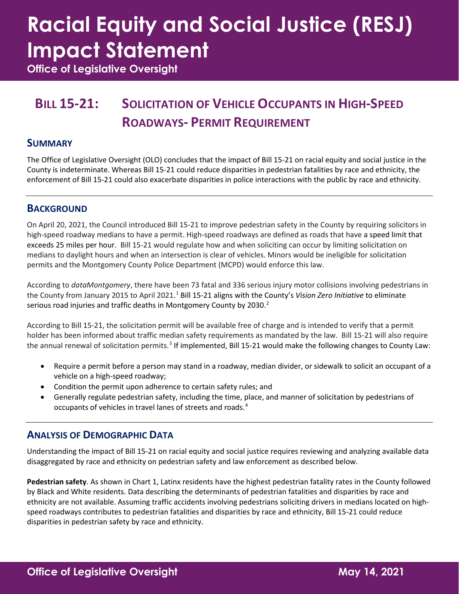# **Racial Equity and Social Justice (RESJ) Impact Statement**

**Office of Legislative Oversight**

### **BILL 15-21: SOLICITATION OF VEHICLE OCCUPANTS IN HIGH-SPEED ROADWAYS- PERMIT REQUIREMENT**

#### **SUMMARY**

The Office of Legislative Oversight (OLO) concludes that the impact of Bill 15-21 on racial equity and social justice in the County is indeterminate. Whereas Bill 15-21 could reduce disparities in pedestrian fatalities by race and ethnicity, the enforcement of Bill 15-21 could also exacerbate disparities in police interactions with the public by race and ethnicity.

#### **BACKGROUND**

On April 20, 2021, the Council introduced Bill 15-21 to improve pedestrian safety in the County by requiring solicitors in high-speed roadway medians to have a permit. High-speed roadways are defined as roads that have a speed limit that exceeds 25 miles per hour. Bill 15-21 would regulate how and when soliciting can occur by limiting solicitation on medians to daylight hours and when an intersection is clear of vehicles. Minors would be ineligible for solicitation permits and the Montgomery County Police Department (MCPD) would enforce this law.

According to *dataMontgomery*, there have been 73 fatal and 336 serious injury motor collisions involving pedestrians in the County from January 2015 to April 2021. [1](#page-3-0) Bill 15-21 aligns with the County's *Vision Zero Initiative* to eliminate serious road injuries and traffic deaths in Montgomery County by 2030.<sup>2</sup>

According to Bill 15-21, the solicitation permit will be available free of charge and is intended to verify that a permit holder has been informed about traffic median safety requirements as mandated by the law. Bill 15-21 will also require the annual renewal of solicitation permits.<sup>[3](#page-3-2)</sup> If implemented, Bill 15-21 would make the following changes to County Law:

- Require a permit before a person may stand in a roadway, median divider, or sidewalk to solicit an occupant of a vehicle on a high-speed roadway;
- Condition the permit upon adherence to certain safety rules; and
- Generally regulate pedestrian safety, including the time, place, and manner of solicitation by pedestrians of occupants of vehicles in travel lanes of streets and roads. [4](#page-3-3)

#### **ANALYSIS OF DEMOGRAPHIC DATA**

Understanding the impact of Bill 15-21 on racial equity and social justice requires reviewing and analyzing available data disaggregated by race and ethnicity on pedestrian safety and law enforcement as described below.

**Pedestrian safety**. As shown in Chart 1, Latinx residents have the highest pedestrian fatality rates in the County followed by Black and White residents. Data describing the determinants of pedestrian fatalities and disparities by race and ethnicity are not available. Assuming traffic accidents involving pedestrians soliciting drivers in medians located on highspeed roadways contributes to pedestrian fatalities and disparities by race and ethnicity, Bill 15-21 could reduce disparities in pedestrian safety by race and ethnicity.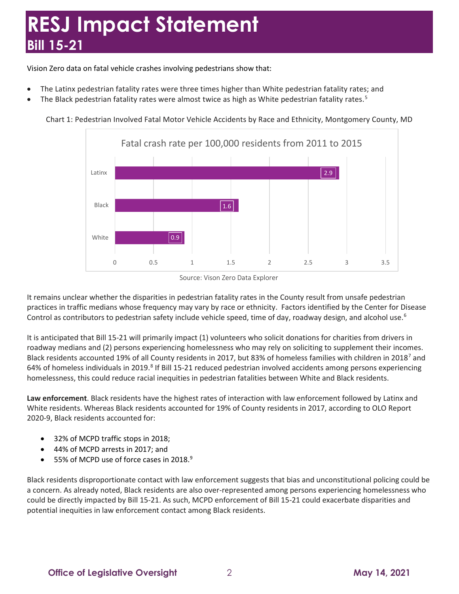Vision Zero data on fatal vehicle crashes involving pedestrians show that:

- The Latinx pedestrian fatality rates were three times higher than White pedestrian fatality rates; and
- The Black pedestrian fatality rates were almost twice as high as White pedestrian fatality rates.<sup>[5](#page-3-4)</sup>



Chart 1: Pedestrian Involved Fatal Motor Vehicle Accidents by Race and Ethnicity, Montgomery County, MD

It remains unclear whether the disparities in pedestrian fatality rates in the County result from unsafe pedestrian practices in traffic medians whose frequency may vary by race or ethnicity. Factors identified by the Center for Disease Control as contributors to pedestrian safety include vehicle speed, time of day, roadway design, and alcohol use.<sup>[6](#page-3-5)</sup>

It is anticipated that Bill 15-21 will primarily impact (1) volunteers who solicit donations for charities from drivers in roadway medians and (2) persons experiencing homelessness who may rely on soliciting to supplement their incomes. Black residents accounted 19% of all County residents in 2017, but 83% of homeless families with children in 2018[7](#page-3-6) and 64% of homeless individuals in 2019.<sup>[8](#page-3-7)</sup> If Bill 15-21 reduced pedestrian involved accidents among persons experiencing homelessness, this could reduce racial inequities in pedestrian fatalities between White and Black residents.

**Law enforcement**. Black residents have the highest rates of interaction with law enforcement followed by Latinx and White residents. Whereas Black residents accounted for 19% of County residents in 2017, according to OLO Report 2020-9, Black residents accounted for:

- 32% of MCPD traffic stops in 2018;
- 44% of MCPD arrests in 2017; and
- 55% of MCPD use of force cases in 2018.[9](#page-3-8)

Black residents disproportionate contact with law enforcement suggests that bias and unconstitutional policing could be a concern. As already noted, Black residents are also over-represented among persons experiencing homelessness who could be directly impacted by Bill 15-21. As such, MCPD enforcement of Bill 15-21 could exacerbate disparities and potential inequities in law enforcement contact among Black residents.

Source: Vison Zero Data Explorer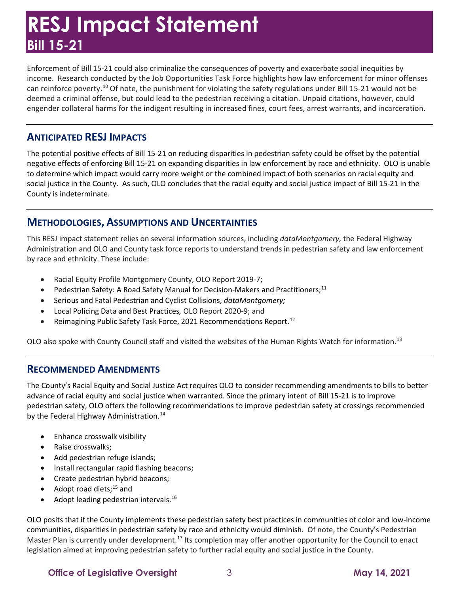Enforcement of Bill 15-21 could also criminalize the consequences of poverty and exacerbate social inequities by income. Research conducted by the Job Opportunities Task Force highlights how law enforcement for minor offenses can reinforce poverty.[10](#page-3-9) Of note, the punishment for violating the safety regulations under Bill 15-21 would not be deemed a criminal offense, but could lead to the pedestrian receiving a citation. Unpaid citations, however, could engender collateral harms for the indigent resulting in increased fines, court fees, arrest warrants, and incarceration.

#### **ANTICIPATED RESJ IMPACTS**

The potential positive effects of Bill 15-21 on reducing disparities in pedestrian safety could be offset by the potential negative effects of enforcing Bill 15-21 on expanding disparities in law enforcement by race and ethnicity. OLO is unable to determine which impact would carry more weight or the combined impact of both scenarios on racial equity and social justice in the County. As such, OLO concludes that the racial equity and social justice impact of Bill 15-21 in the County is indeterminate.

#### **METHODOLOGIES, ASSUMPTIONS AND UNCERTAINTIES**

This RESJ impact statement relies on several information sources, including *dataMontgomery,* the Federal Highway Administration and OLO and County task force reports to understand trends in pedestrian safety and law enforcement by race and ethnicity. These include:

- Racial Equity Profile Montgomery County, OLO Report 2019-7;
- Pedestrian Safety: A Road Safety Manual for Decision-Makers and Practitioners;<sup>[11](#page-4-0)</sup>
- Serious and Fatal Pedestrian and Cyclist Collisions, *dataMontgomery;*
- Local Policing Data and Best Practices*,* OLO Report 2020-9; and
- Reimagining Public Safety Task Force, 2021 Recommendations Report.<sup>[12](#page-4-1)</sup>

OLO also spoke with County Council staff and visited the websites of the Human Rights Watch for information.[13](#page-4-2)

#### **RECOMMENDED AMENDMENTS**

The County's Racial Equity and Social Justice Act requires OLO to consider recommending amendments to bills to better advance of racial equity and social justice when warranted. Since the primary intent of Bill 15-21 is to improve pedestrian safety, OLO offers the following recommendations to improve pedestrian safety at crossings recommended by the Federal Highway Administration.<sup>[14](#page-4-3)</sup>

- Enhance crosswalk visibility
- Raise crosswalks;
- Add pedestrian refuge islands;
- Install rectangular rapid flashing beacons;
- Create pedestrian hybrid beacons;
- Adopt road diets; $^{15}$  $^{15}$  $^{15}$  and
- Adopt leading pedestrian intervals.<sup>[16](#page-4-5)</sup>

OLO posits that if the County implements these pedestrian safety best practices in communities of color and low-income communities, disparities in pedestrian safety by race and ethnicity would diminish. Of note, the County's Pedestrian Master Plan is currently under development.<sup>[17](#page-4-6)</sup> Its completion may offer another opportunity for the Council to enact legislation aimed at improving pedestrian safety to further racial equity and social justice in the County.

**Office of Legislative Oversight**  $\qquad 3$  **May 14, 2021**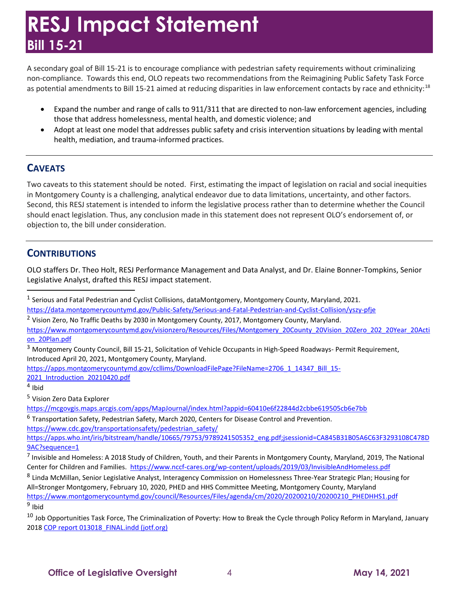A secondary goal of Bill 15-21 is to encourage compliance with pedestrian safety requirements without criminalizing non-compliance. Towards this end, OLO repeats two recommendations from the Reimagining Public Safety Task Force as potential amendments to Bill 15-21 aimed at reducing disparities in law enforcement contacts by race and ethnicity:<sup>[18](#page-4-7)</sup>

- Expand the number and range of calls to 911/311 that are directed to non-law enforcement agencies, including those that address homelessness, mental health, and domestic violence; and
- Adopt at least one model that addresses public safety and crisis intervention situations by leading with mental health, mediation, and trauma-informed practices.

#### **CAVEATS**

Two caveats to this statement should be noted. First, estimating the impact of legislation on racial and social inequities in Montgomery County is a challenging, analytical endeavor due to data limitations, uncertainty, and other factors. Second, this RESJ statement is intended to inform the legislative process rather than to determine whether the Council should enact legislation. Thus, any conclusion made in this statement does not represent OLO's endorsement of, or objection to, the bill under consideration.

#### **CONTRIBUTIONS**

OLO staffers Dr. Theo Holt, RESJ Performance Management and Data Analyst, and Dr. Elaine Bonner-Tompkins, Senior Legislative Analyst, drafted this RESJ impact statement.

[2021\\_Introduction\\_20210420.pdf](https://apps.montgomerycountymd.gov/ccllims/DownloadFilePage?FileName=2706_1_14347_Bill_15-2021_Introduction_20210420.pdf)

<span id="page-3-4"></span><sup>5</sup> Vision Zero Data Explorer

<span id="page-3-5"></span><sup>6</sup> Transportation Safety, Pedestrian Safety, March 2020, Centers for Disease Control and Prevention. [https://www.cdc.gov/transportationsafety/pedestrian\\_safety/](https://www.cdc.gov/transportationsafety/pedestrian_safety/)

<span id="page-3-0"></span><sup>&</sup>lt;sup>1</sup> Serious and Fatal Pedestrian and Cyclist Collisions, dataMontgomery, Montgomery County, Maryland, 2021.

<https://data.montgomerycountymd.gov/Public-Safety/Serious-and-Fatal-Pedestrian-and-Cyclist-Collision/yszy-pfje>

<span id="page-3-1"></span><sup>&</sup>lt;sup>2</sup> Vision Zero, No Traffic Deaths by 2030 in Montgomery County, 2017, Montgomery County, Maryland.

[https://www.montgomerycountymd.gov/visionzero/Resources/Files/Montgomery\\_20County\\_20Vision\\_20Zero\\_202\\_20Year\\_20Acti](https://www.montgomerycountymd.gov/visionzero/resources/files/montgomery_20county_20vision_20zero_202_20year_20action_20plan.pdf) [on\\_20Plan.pdf](https://www.montgomerycountymd.gov/visionzero/resources/files/montgomery_20county_20vision_20zero_202_20year_20action_20plan.pdf)

<span id="page-3-2"></span><sup>3</sup> Montgomery County Council, Bill 15-21, Solicitation of Vehicle Occupants in High-Speed Roadways- Permit Requirement, Introduced April 20, 2021, Montgomery County, Maryland.

[https://apps.montgomerycountymd.gov/ccllims/DownloadFilePage?FileName=2706\\_1\\_14347\\_Bill\\_15-](https://apps.montgomerycountymd.gov/ccllims/DownloadFilePage?FileName=2706_1_14347_Bill_15-2021_Introduction_20210420.pdf)

<span id="page-3-3"></span> $4$  Ibid

<https://mcgovgis.maps.arcgis.com/apps/MapJournal/index.html?appid=60410e6f22844d2cbbe619505cb6e7bb>

[https://apps.who.int/iris/bitstream/handle/10665/79753/9789241505352\\_eng.pdf;jsessionid=CA845B31B05A6C63F3293108C478D](https://apps.who.int/iris/bitstream/handle/10665/79753/9789241505352_eng.pdf;jsessionid=CA845B31B05A6C63F3293108C478D9AC?sequence=1) [9AC?sequence=1](https://apps.who.int/iris/bitstream/handle/10665/79753/9789241505352_eng.pdf;jsessionid=CA845B31B05A6C63F3293108C478D9AC?sequence=1)

<span id="page-3-6"></span> $^7$  Invisible and Homeless: A 2018 Study of Children, Youth, and their Parents in Montgomery County, Maryland, 2019, The National Center for Children and Families. <https://www.nccf-cares.org/wp-content/uploads/2019/03/InvisibleAndHomeless.pdf>

<span id="page-3-7"></span><sup>8</sup> Linda McMillan, Senior Legislative Analyst, Interagency Commission on Homelessness Three-Year Strategic Plan; Housing for All=Stronger Montgomery, February 10, 2020, PHED and HHS Committee Meeting, Montgomery County, Maryland [https://www.montgomerycountymd.gov/council/Resources/Files/agenda/cm/2020/20200210/20200210\\_PHEDHHS1.pdf](https://www.montgomerycountymd.gov/council/Resources/Files/agenda/cm/2020/20200210/20200210_PHEDHHS1.pdf) <sup>9</sup> Ibid

<span id="page-3-9"></span><span id="page-3-8"></span><sup>&</sup>lt;sup>10</sup> Job Opportunities Task Force, The Criminalization of Poverty: How to Break the Cycle through Policy Reform in Maryland, January 2018 COP report 013018 FINAL.indd (jotf.org)